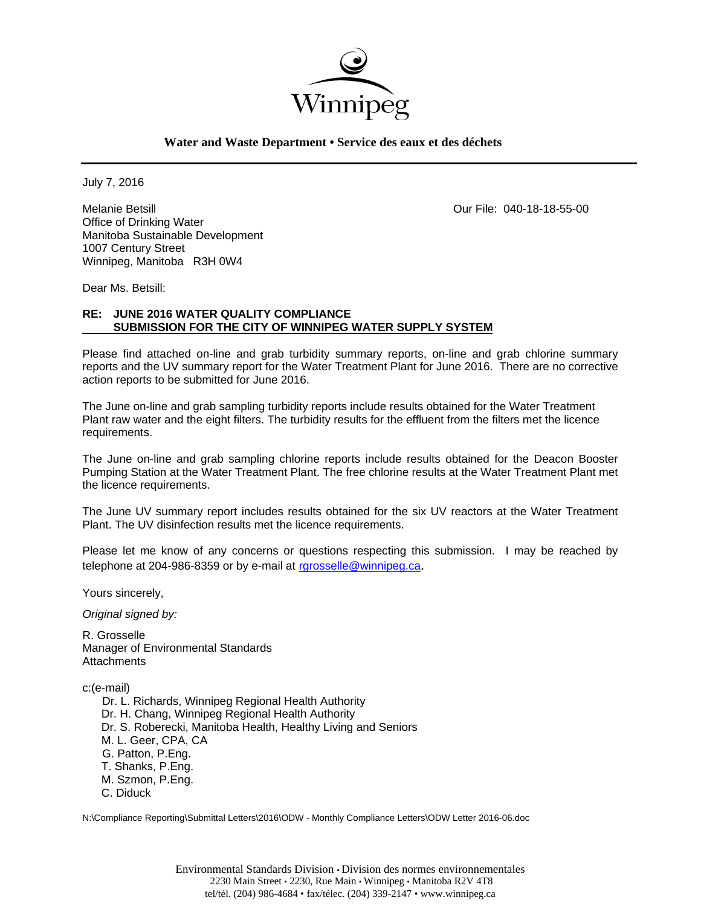

## **Water and Waste Department • Service des eaux et des déchets**

July 7, 2016

Melanie Betsill Our File: 040-18-18-55-00 Office of Drinking Water Manitoba Sustainable Development 1007 Century Street Winnipeg, Manitoba R3H 0W4

Dear Ms. Betsill:

# **RE: JUNE 2016 WATER QUALITY COMPLIANCE SUBMISSION FOR THE CITY OF WINNIPEG WATER SUPPLY SYSTEM**

Please find attached on-line and grab turbidity summary reports, on-line and grab chlorine summary reports and the UV summary report for the Water Treatment Plant for June 2016. There are no corrective action reports to be submitted for June 2016.

The June on-line and grab sampling turbidity reports include results obtained for the Water Treatment Plant raw water and the eight filters. The turbidity results for the effluent from the filters met the licence requirements.

The June on-line and grab sampling chlorine reports include results obtained for the Deacon Booster Pumping Station at the Water Treatment Plant. The free chlorine results at the Water Treatment Plant met the licence requirements.

The June UV summary report includes results obtained for the six UV reactors at the Water Treatment Plant. The UV disinfection results met the licence requirements.

Please let me know of any concerns or questions respecting this submission. I may be reached by telephone at 204-986-8359 or by e-mail at rgrosselle@winnipeg.ca.

Yours sincerely,

*Original signed by:* 

R. Grosselle Manager of Environmental Standards **Attachments** 

c:(e-mail)

 Dr. L. Richards, Winnipeg Regional Health Authority Dr. H. Chang, Winnipeg Regional Health Authority Dr. S. Roberecki, Manitoba Health, Healthy Living and Seniors M. L. Geer, CPA, CA G. Patton, P.Eng. T. Shanks, P.Eng. M. Szmon, P.Eng. C. Diduck

N:\Compliance Reporting\Submittal Letters\2016\ODW - Monthly Compliance Letters\ODW Letter 2016-06.doc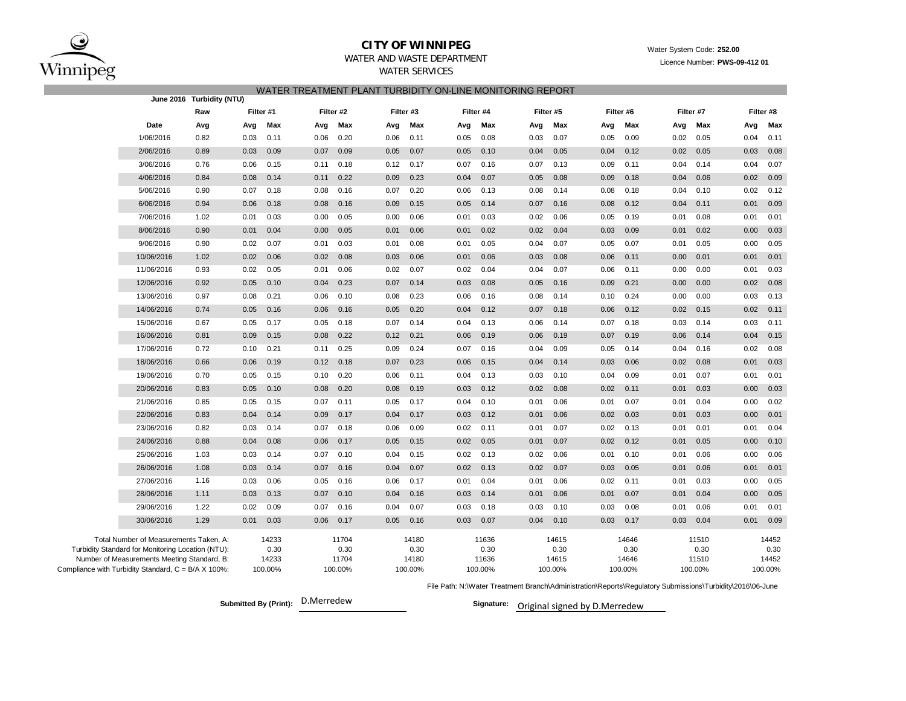

## **CITY OF WINNIPEG**WATER AND WASTE DEPARTMENT

## WATER SERVICES WATER TREATMENT PLANT TURBIDITY ON-LINE MONITORING REPORT

|                                                                                                  |                                                     | June 2016 Turbidity (NTU) |         |                  |           |       |           |               |         |               |           |               |         |               |         |               |         |               |
|--------------------------------------------------------------------------------------------------|-----------------------------------------------------|---------------------------|---------|------------------|-----------|-------|-----------|---------------|---------|---------------|-----------|---------------|---------|---------------|---------|---------------|---------|---------------|
|                                                                                                  |                                                     | Raw                       |         | Filter #1        | Filter #2 |       | Filter #3 |               |         | Filter #4     | Filter #5 |               |         | Filter #6     |         | Filter #7     |         | Filter #8     |
|                                                                                                  | Date                                                | Avg                       | Avg     | Max              | Avg       | Max   | Avg       | Max           | Avg     | Max           | Avg       | Max           | Avg     | Max           | Avg     | Max           | Avg     | Max           |
|                                                                                                  | 1/06/2016                                           | 0.82                      | 0.03    | 0.11             | 0.06      | 0.20  | 0.06      | 0.11          | 0.05    | 0.08          | 0.03      | 0.07          | 0.05    | 0.09          | 0.02    | 0.05          | 0.04    | 0.11          |
|                                                                                                  | 2/06/2016                                           | 0.89                      | 0.03    | 0.09             | 0.07      | 0.09  | 0.05      | 0.07          | 0.05    | 0.10          | 0.04      | 0.05          | 0.04    | 0.12          | 0.02    | 0.05          | 0.03    | 0.08          |
|                                                                                                  | 3/06/2016                                           | 0.76                      | 0.06    | 0.15             | 0.11      | 0.18  | 0.12      | 0.17          | 0.07    | 0.16          | 0.07      | 0.13          | 0.09    | 0.11          | 0.04    | 0.14          | 0.04    | 0.07          |
|                                                                                                  | 4/06/2016                                           | 0.84                      | 0.08    | 0.14             | 0.11      | 0.22  | 0.09      | 0.23          | 0.04    | 0.07          | 0.05      | 0.08          | 0.09    | 0.18          | 0.04    | 0.06          | 0.02    | 0.09          |
|                                                                                                  | 5/06/2016                                           | 0.90                      | 0.07    | 0.18             | 0.08      | 0.16  | 0.07      | 0.20          | 0.06    | 0.13          | 0.08      | 0.14          | 0.08    | 0.18          | 0.04    | 0.10          | 0.02    | 0.12          |
|                                                                                                  | 6/06/2016                                           | 0.94                      | 0.06    | 0.18             | 0.08      | 0.16  | 0.09      | 0.15          | 0.05    | 0.14          | 0.07      | 0.16          | 0.08    | 0.12          | 0.04    | 0.11          | 0.01    | 0.09          |
|                                                                                                  | 7/06/2016                                           | 1.02                      | 0.01    | 0.03             | 0.00      | 0.05  | 0.00      | 0.06          | 0.01    | 0.03          | 0.02      | 0.06          | 0.05    | 0.19          | 0.01    | 0.08          | 0.01    | 0.01          |
|                                                                                                  | 8/06/2016                                           | 0.90                      | 0.01    | 0.04             | 0.00      | 0.05  | 0.01      | 0.06          | 0.01    | 0.02          | 0.02      | 0.04          | 0.03    | 0.09          | 0.01    | 0.02          | 0.00    | 0.03          |
|                                                                                                  | 9/06/2016                                           | 0.90                      | 0.02    | 0.07             | 0.01      | 0.03  | 0.01      | 0.08          | 0.01    | 0.05          | 0.04      | 0.07          | 0.05    | 0.07          | 0.01    | 0.05          | 0.00    | 0.05          |
|                                                                                                  | 10/06/2016                                          | 1.02                      | 0.02    | 0.06             | 0.02      | 0.08  | 0.03      | 0.06          | 0.01    | 0.06          | 0.03      | 0.08          | 0.06    | 0.11          | 0.00    | 0.01          | 0.01    | 0.01          |
|                                                                                                  | 11/06/2016                                          | 0.93                      | 0.02    | 0.05             | 0.01      | 0.06  | 0.02      | 0.07          | 0.02    | 0.04          | 0.04      | 0.07          | 0.06    | 0.11          | 0.00    | 0.00          | 0.01    | 0.03          |
|                                                                                                  | 12/06/2016                                          | 0.92                      | 0.05    | 0.10             | 0.04      | 0.23  | 0.07      | 0.14          | 0.03    | 0.08          | 0.05      | 0.16          | 0.09    | 0.21          | 0.00    | 0.00          | 0.02    | 0.08          |
|                                                                                                  | 13/06/2016                                          | 0.97                      | 0.08    | 0.21             | 0.06      | 0.10  | 0.08      | 0.23          | 0.06    | 0.16          | 0.08      | 0.14          | 0.10    | 0.24          | 0.00    | 0.00          | 0.03    | 0.13          |
|                                                                                                  | 14/06/2016                                          | 0.74                      | 0.05    | 0.16             | 0.06      | 0.16  | 0.05      | 0.20          | 0.04    | 0.12          | 0.07      | 0.18          | 0.06    | 0.12          | 0.02    | 0.15          | 0.02    | 0.11          |
|                                                                                                  | 15/06/2016                                          | 0.67                      | 0.05    | 0.17             | 0.05      | 0.18  | 0.07      | 0.14          | 0.04    | 0.13          | 0.06      | 0.14          | 0.07    | 0.18          | 0.03    | 0.14          | 0.03    | 0.11          |
|                                                                                                  | 16/06/2016                                          | 0.81                      | 0.09    | 0.15             | 0.08      | 0.22  | 0.12      | 0.21          | 0.06    | 0.19          | 0.06      | 0.19          | 0.07    | 0.19          | 0.06    | 0.14          | 0.04    | 0.15          |
|                                                                                                  | 17/06/2016                                          | 0.72                      | 0.10    | 0.21             | 0.11      | 0.25  | 0.09      | 0.24          | 0.07    | 0.16          | 0.04      | 0.09          | 0.05    | 0.14          | 0.04    | 0.16          | 0.02    | 0.08          |
|                                                                                                  | 18/06/2016                                          | 0.66                      | 0.06    | 0.19             | 0.12      | 0.18  | 0.07      | 0.23          | 0.06    | 0.15          | 0.04      | 0.14          | 0.03    | 0.06          | 0.02    | 0.08          | 0.01    | 0.03          |
|                                                                                                  | 19/06/2016                                          | 0.70                      | 0.05    | 0.15             | 0.10      | 0.20  | 0.06      | 0.11          | 0.04    | 0.13          | 0.03      | 0.10          | 0.04    | 0.09          | 0.01    | 0.07          | 0.01    | 0.01          |
|                                                                                                  | 20/06/2016                                          | 0.83                      | 0.05    | 0.10             | 0.08      | 0.20  | 0.08      | 0.19          | 0.03    | 0.12          | 0.02      | 0.08          | 0.02    | 0.11          | 0.01    | 0.03          | 0.00    | 0.03          |
|                                                                                                  | 21/06/2016                                          | 0.85                      | 0.05    | 0.15             | 0.07      | 0.11  | 0.05      | 0.17          | 0.04    | 0.10          | 0.01      | 0.06          | 0.01    | 0.07          | 0.01    | 0.04          | 0.00    | 0.02          |
|                                                                                                  | 22/06/2016                                          | 0.83                      | 0.04    | 0.14             | 0.09      | 0.17  | 0.04      | 0.17          | 0.03    | 0.12          | 0.01      | 0.06          | 0.02    | 0.03          | 0.01    | 0.03          | 0.00    | 0.01          |
|                                                                                                  | 23/06/2016                                          | 0.82                      | 0.03    | 0.14             | 0.07      | 0.18  | 0.06      | 0.09          | 0.02    | 0.11          | 0.01      | 0.07          | 0.02    | 0.13          | 0.01    | 0.01          | 0.01    | 0.04          |
|                                                                                                  | 24/06/2016                                          | 0.88                      | 0.04    | 0.08             | 0.06      | 0.17  | 0.05      | 0.15          | 0.02    | 0.05          | 0.01      | 0.07          | 0.02    | 0.12          | 0.01    | 0.05          | 0.00    | 0.10          |
|                                                                                                  | 25/06/2016                                          | 1.03                      | 0.03    | 0.14             | 0.07      | 0.10  | 0.04      | 0.15          | 0.02    | 0.13          | 0.02      | 0.06          | 0.01    | 0.10          | 0.01    | 0.06          | 0.00    | 0.06          |
|                                                                                                  | 26/06/2016                                          | 1.08                      | 0.03    | 0.14             | 0.07      | 0.16  | 0.04      | 0.07          | 0.02    | 0.13          | 0.02      | 0.07          | 0.03    | 0.05          | 0.01    | 0.06          | 0.01    | 0.01          |
|                                                                                                  | 27/06/2016                                          | 1.16                      | 0.03    | 0.06             | 0.05      | 0.16  | 0.06      | 0.17          | 0.01    | 0.04          | 0.01      | 0.06          | 0.02    | 0.11          | 0.01    | 0.03          | 0.00    | 0.05          |
|                                                                                                  | 28/06/2016                                          | 1.11                      | 0.03    | 0.13             | 0.07      | 0.10  | 0.04      | 0.16          | 0.03    | 0.14          | 0.01      | 0.06          | 0.01    | 0.07          | 0.01    | 0.04          | 0.00    | 0.05          |
|                                                                                                  | 29/06/2016                                          | 1.22                      | 0.02    | 0.09             | 0.07      | 0.16  | 0.04      | 0.07          | 0.03    | 0.18          | 0.03      | 0.10          | 0.03    | 0.08          | 0.01    | 0.06          | 0.01    | 0.01          |
|                                                                                                  | 30/06/2016                                          | 1.29                      | 0.01    | 0.03             | 0.06      | 0.17  | 0.05      | 0.16          | 0.03    | 0.07          | 0.04      | 0.10          | 0.03    | 0.17          | 0.03    | 0.04          | 0.01    | 0.09          |
|                                                                                                  | Total Number of Measurements Taken, A:              |                           |         | 14233            |           | 11704 |           | 14180         |         | 11636         |           | 14615         |         | 14646         |         | 11510         |         | 14452         |
| Turbidity Standard for Monitoring Location (NTU):<br>Number of Measurements Meeting Standard, B: |                                                     |                           |         | 0.30<br>14233    |           | 0.30  |           | 0.30<br>14180 |         | 0.30<br>11636 |           | 0.30<br>14615 |         | 0.30<br>14646 |         | 0.30<br>11510 |         | 0.30<br>14452 |
|                                                                                                  | Compliance with Turbidity Standard, C = B/A X 100%: |                           | 100.00% | 11704<br>100.00% |           |       | 100.00%   |               | 100.00% |               | 100.00%   |               | 100.00% |               | 100.00% |               | 100.00% |               |
|                                                                                                  |                                                     |                           |         |                  |           |       |           |               |         |               |           |               |         |               |         |               |         |               |

File Path: N:\Water Treatment Branch\Administration\Reports\Regulatory Submissions\Turbidity\2016\06-June

**Submitted By (Print): Signature:** D.Merredew

Signature: Original signed by D.Merredew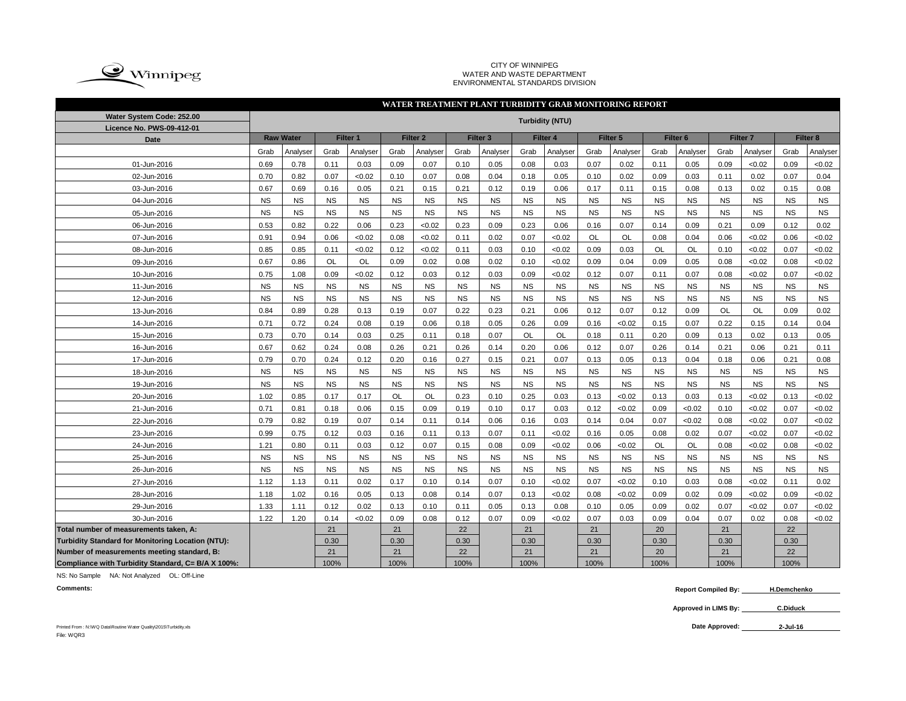

#### CITY OF WINNIPEG WATER AND WASTE DEPARTMENT ENVIRONMENTAL STANDARDS DIVISION

|                                                          | WATER TREATMENT PLANT TURBIDITY GRAB MONITORING REPORT                                                                                                                     |           |           |           |           |           |           |           |           |           |           |           |                     |           |           |           |           |           |
|----------------------------------------------------------|----------------------------------------------------------------------------------------------------------------------------------------------------------------------------|-----------|-----------|-----------|-----------|-----------|-----------|-----------|-----------|-----------|-----------|-----------|---------------------|-----------|-----------|-----------|-----------|-----------|
| Water System Code: 252.00<br>Licence No. PWS-09-412-01   | <b>Turbidity (NTU)</b><br><b>Raw Water</b><br>Filter 1<br>Filter <sub>2</sub><br>Filter 4<br>Filter <sub>5</sub><br>Filter <sub>7</sub><br>Filter 8<br>Filter <sub>3</sub> |           |           |           |           |           |           |           |           |           |           |           |                     |           |           |           |           |           |
| <b>Date</b>                                              |                                                                                                                                                                            |           |           |           |           |           |           |           |           |           |           |           | Filter <sub>6</sub> |           |           |           |           |           |
|                                                          | Grab                                                                                                                                                                       | Analyser  | Grab      | Analyser  | Grab      | Analyser  | Grab      | Analyser  | Grab      | Analyser  | Grab      | Analyser  | Grab                | Analyser  | Grab      | Analyser  | Grab      | Analyser  |
| 01-Jun-2016                                              | 0.69                                                                                                                                                                       | 0.78      | 0.11      | 0.03      | 0.09      | 0.07      | 0.10      | 0.05      | 0.08      | 0.03      | 0.07      | 0.02      | 0.11                | 0.05      | 0.09      | < 0.02    | 0.09      | < 0.02    |
| 02-Jun-2016                                              | 0.70                                                                                                                                                                       | 0.82      | 0.07      | <0.02     | 0.10      | 0.07      | 0.08      | 0.04      | 0.18      | 0.05      | 0.10      | 0.02      | 0.09                | 0.03      | 0.11      | 0.02      | 0.07      | 0.04      |
| 03-Jun-2016                                              | 0.67                                                                                                                                                                       | 0.69      | 0.16      | 0.05      | 0.21      | 0.15      | 0.21      | 0.12      | 0.19      | 0.06      | 0.17      | 0.11      | 0.15                | 0.08      | 0.13      | 0.02      | 0.15      | 0.08      |
| 04-Jun-2016                                              | <b>NS</b>                                                                                                                                                                  | <b>NS</b> | <b>NS</b> | <b>NS</b> | <b>NS</b> | <b>NS</b> | <b>NS</b> | <b>NS</b> | <b>NS</b> | <b>NS</b> | <b>NS</b> | <b>NS</b> | <b>NS</b>           | <b>NS</b> | <b>NS</b> | <b>NS</b> | <b>NS</b> | <b>NS</b> |
| 05-Jun-2016                                              | <b>NS</b>                                                                                                                                                                  | <b>NS</b> | <b>NS</b> | <b>NS</b> | <b>NS</b> | <b>NS</b> | <b>NS</b> | <b>NS</b> | <b>NS</b> | <b>NS</b> | <b>NS</b> | <b>NS</b> | <b>NS</b>           | <b>NS</b> | <b>NS</b> | <b>NS</b> | <b>NS</b> | <b>NS</b> |
| 06-Jun-2016                                              | 0.53                                                                                                                                                                       | 0.82      | 0.22      | 0.06      | 0.23      | <0.02     | 0.23      | 0.09      | 0.23      | 0.06      | 0.16      | 0.07      | 0.14                | 0.09      | 0.21      | 0.09      | 0.12      | 0.02      |
| 07-Jun-2016                                              | 0.91                                                                                                                                                                       | 0.94      | 0.06      | < 0.02    | 0.08      | < 0.02    | 0.11      | 0.02      | 0.07      | < 0.02    | <b>OL</b> | <b>OL</b> | 0.08                | 0.04      | 0.06      | < 0.02    | 0.06      | < 0.02    |
| 08-Jun-2016                                              | 0.85                                                                                                                                                                       | 0.85      | 0.11      | <0.02     | 0.12      | <0.02     | 0.11      | 0.03      | 0.10      | < 0.02    | 0.09      | 0.03      | <b>OL</b>           | <b>OL</b> | 0.10      | < 0.02    | 0.07      | <0.02     |
| 09-Jun-2016                                              | 0.67                                                                                                                                                                       | 0.86      | <b>OL</b> | <b>OL</b> | 0.09      | 0.02      | 0.08      | 0.02      | 0.10      | <0.02     | 0.09      | 0.04      | 0.09                | 0.05      | 0.08      | < 0.02    | 0.08      | <0.02     |
| 10-Jun-2016                                              | 0.75                                                                                                                                                                       | 1.08      | 0.09      | <0.02     | 0.12      | 0.03      | 0.12      | 0.03      | 0.09      | < 0.02    | 0.12      | 0.07      | 0.11                | 0.07      | 0.08      | <0.02     | 0.07      | < 0.02    |
| 11-Jun-2016                                              | <b>NS</b>                                                                                                                                                                  | <b>NS</b> | <b>NS</b> | <b>NS</b> | <b>NS</b> | <b>NS</b> | <b>NS</b> | <b>NS</b> | <b>NS</b> | <b>NS</b> | <b>NS</b> | <b>NS</b> | <b>NS</b>           | <b>NS</b> | <b>NS</b> | <b>NS</b> | <b>NS</b> | <b>NS</b> |
| 12-Jun-2016                                              | <b>NS</b>                                                                                                                                                                  | <b>NS</b> | <b>NS</b> | <b>NS</b> | <b>NS</b> | <b>NS</b> | <b>NS</b> | <b>NS</b> | <b>NS</b> | <b>NS</b> | <b>NS</b> | <b>NS</b> | <b>NS</b>           | <b>NS</b> | <b>NS</b> | <b>NS</b> | <b>NS</b> | <b>NS</b> |
| 13-Jun-2016                                              | 0.84                                                                                                                                                                       | 0.89      | 0.28      | 0.13      | 0.19      | 0.07      | 0.22      | 0.23      | 0.21      | 0.06      | 0.12      | 0.07      | 0.12                | 0.09      | <b>OL</b> | <b>OL</b> | 0.09      | 0.02      |
| 14-Jun-2016                                              | 0.71                                                                                                                                                                       | 0.72      | 0.24      | 0.08      | 0.19      | 0.06      | 0.18      | 0.05      | 0.26      | 0.09      | 0.16      | < 0.02    | 0.15                | 0.07      | 0.22      | 0.15      | 0.14      | 0.04      |
| 15-Jun-2016                                              | 0.73                                                                                                                                                                       | 0.70      | 0.14      | 0.03      | 0.25      | 0.11      | 0.18      | 0.07      | <b>OL</b> | <b>OL</b> | 0.18      | 0.11      | 0.20                | 0.09      | 0.13      | 0.02      | 0.13      | 0.05      |
| 16-Jun-2016                                              | 0.67                                                                                                                                                                       | 0.62      | 0.24      | 0.08      | 0.26      | 0.21      | 0.26      | 0.14      | 0.20      | 0.06      | 0.12      | 0.07      | 0.26                | 0.14      | 0.21      | 0.06      | 0.21      | 0.11      |
| 17-Jun-2016                                              | 0.79                                                                                                                                                                       | 0.70      | 0.24      | 0.12      | 0.20      | 0.16      | 0.27      | 0.15      | 0.21      | 0.07      | 0.13      | 0.05      | 0.13                | 0.04      | 0.18      | 0.06      | 0.21      | 0.08      |
| 18-Jun-2016                                              | <b>NS</b>                                                                                                                                                                  | <b>NS</b> | <b>NS</b> | <b>NS</b> | <b>NS</b> | <b>NS</b> | <b>NS</b> | <b>NS</b> | <b>NS</b> | <b>NS</b> | <b>NS</b> | <b>NS</b> | <b>NS</b>           | <b>NS</b> | <b>NS</b> | <b>NS</b> | <b>NS</b> | <b>NS</b> |
| 19-Jun-2016                                              | <b>NS</b>                                                                                                                                                                  | <b>NS</b> | <b>NS</b> | <b>NS</b> | <b>NS</b> | <b>NS</b> | <b>NS</b> | <b>NS</b> | <b>NS</b> | <b>NS</b> | <b>NS</b> | <b>NS</b> | <b>NS</b>           | <b>NS</b> | <b>NS</b> | <b>NS</b> | <b>NS</b> | <b>NS</b> |
| 20-Jun-2016                                              | 1.02                                                                                                                                                                       | 0.85      | 0.17      | 0.17      | OL        | <b>OL</b> | 0.23      | 0.10      | 0.25      | 0.03      | 0.13      | < 0.02    | 0.13                | 0.03      | 0.13      | < 0.02    | 0.13      | < 0.02    |
| 21-Jun-2016                                              | 0.71                                                                                                                                                                       | 0.81      | 0.18      | 0.06      | 0.15      | 0.09      | 0.19      | 0.10      | 0.17      | 0.03      | 0.12      | < 0.02    | 0.09                | <0.02     | 0.10      | < 0.02    | 0.07      | < 0.02    |
| 22-Jun-2016                                              | 0.79                                                                                                                                                                       | 0.82      | 0.19      | 0.07      | 0.14      | 0.11      | 0.14      | 0.06      | 0.16      | 0.03      | 0.14      | 0.04      | 0.07                | <0.02     | 0.08      | < 0.02    | 0.07      | < 0.02    |
| 23-Jun-2016                                              | 0.99                                                                                                                                                                       | 0.75      | 0.12      | 0.03      | 0.16      | 0.11      | 0.13      | 0.07      | 0.11      | < 0.02    | 0.16      | 0.05      | 0.08                | 0.02      | 0.07      | <0.02     | 0.07      | < 0.02    |
| 24-Jun-2016                                              | 1.21                                                                                                                                                                       | 0.80      | 0.11      | 0.03      | 0.12      | 0.07      | 0.15      | 0.08      | 0.09      | < 0.02    | 0.06      | < 0.02    | OL                  | OL        | 0.08      | <0.02     | 0.08      | < 0.02    |
| 25-Jun-2016                                              | <b>NS</b>                                                                                                                                                                  | <b>NS</b> | <b>NS</b> | <b>NS</b> | <b>NS</b> | <b>NS</b> | <b>NS</b> | <b>NS</b> | <b>NS</b> | <b>NS</b> | <b>NS</b> | <b>NS</b> | <b>NS</b>           | <b>NS</b> | <b>NS</b> | <b>NS</b> | <b>NS</b> | <b>NS</b> |
| 26-Jun-2016                                              | <b>NS</b>                                                                                                                                                                  | <b>NS</b> | <b>NS</b> | <b>NS</b> | <b>NS</b> | <b>NS</b> | <b>NS</b> | <b>NS</b> | <b>NS</b> | <b>NS</b> | <b>NS</b> | <b>NS</b> | <b>NS</b>           | <b>NS</b> | <b>NS</b> | <b>NS</b> | <b>NS</b> | <b>NS</b> |
| 27-Jun-2016                                              | 1.12                                                                                                                                                                       | 1.13      | 0.11      | 0.02      | 0.17      | 0.10      | 0.14      | 0.07      | 0.10      | <0.02     | 0.07      | < 0.02    | 0.10                | 0.03      | 0.08      | <0.02     | 0.11      | 0.02      |
| 28-Jun-2016                                              | 1.18                                                                                                                                                                       | 1.02      | 0.16      | 0.05      | 0.13      | 0.08      | 0.14      | 0.07      | 0.13      | < 0.02    | 0.08      | <0.02     | 0.09                | 0.02      | 0.09      | <0.02     | 0.09      | < 0.02    |
| 29-Jun-2016                                              | 1.33                                                                                                                                                                       | 1.11      | 0.12      | 0.02      | 0.13      | 0.10      | 0.11      | 0.05      | 0.13      | 0.08      | 0.10      | 0.05      | 0.09                | 0.02      | 0.07      | < 0.02    | 0.07      | < 0.02    |
| 30-Jun-2016                                              | 1.22                                                                                                                                                                       | 1.20      | 0.14      | <0.02     | 0.09      | 0.08      | 0.12      | 0.07      | 0.09      | < 0.02    | 0.07      | 0.03      | 0.09                | 0.04      | 0.07      | 0.02      | 0.08      | < 0.02    |
| Total number of measurements taken, A:                   |                                                                                                                                                                            |           | 21        |           | 21        |           | 22        |           | 21        |           | 21        |           | 20                  |           | 21        |           | 22        |           |
| <b>Turbidity Standard for Monitoring Location (NTU):</b> |                                                                                                                                                                            |           | 0.30      |           | 0.30      |           | 0.30      |           | 0.30      |           | 0.30      |           | 0.30                |           | 0.30      |           | 0.30      |           |
| Number of measurements meeting standard, B:              |                                                                                                                                                                            |           | 21        |           | 21        |           | 22        |           | 21        |           | 21        |           | 20                  |           | 21        |           | 22        |           |
| Compliance with Turbidity Standard, C= B/A X 100%:       |                                                                                                                                                                            |           | 100%      |           | 100%      |           | 100%      |           | 100%      |           | 100%      |           | 100%                |           | 100%      |           | 100%      |           |

NS: No Sample NA: Not Analyzed OL: Off-Line

**Comments: Report Compiled By:** Report Compiled By: H.Demchenko

**Approved in LIMS By: C.Diduck**

Printed From : N:\WQ Data\Routine Water Quality\2015\Turbidity.xls File: WQR3

Date Approved: 2-Jul-16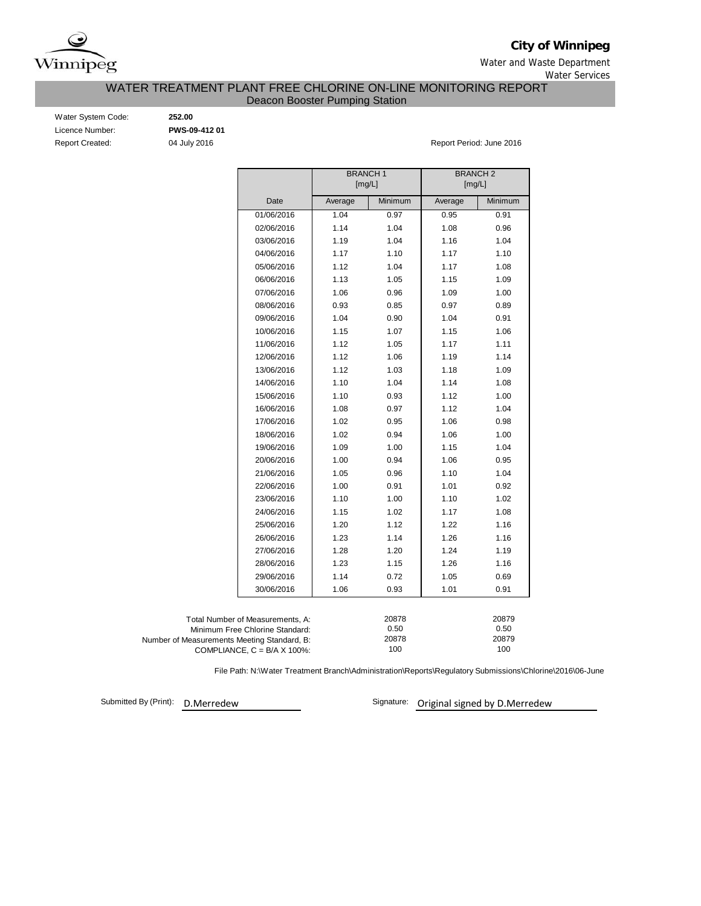

**City of Winnipeg**

Water and Waste Department Water Services

### WATER TREATMENT PLANT FREE CHLORINE ON-LINE MONITORING REPORT Deacon Booster Pumping Station

| Water System Code:     |
|------------------------|
| Licence Number:        |
| <b>Report Created:</b> |

Water System Code: **252.00** Licence Number: **PWS-09-412 01**

04 July 2016 **Report Period: June 2016** 

|                                                                                   | <b>BRANCH1</b><br>[mg/L] |              | <b>BRANCH 2</b><br>[mg/L] |              |
|-----------------------------------------------------------------------------------|--------------------------|--------------|---------------------------|--------------|
| Date                                                                              | Average                  | Minimum      | Average                   | Minimum      |
| 01/06/2016                                                                        | 1.04                     | 0.97         | 0.95                      | 0.91         |
| 02/06/2016                                                                        | 1.14                     | 1.04         | 1.08                      | 0.96         |
| 03/06/2016                                                                        | 1.19                     | 1.04         | 1.16                      | 1.04         |
| 04/06/2016                                                                        | 1.17                     | 1.10         | 1.17                      | 1.10         |
| 05/06/2016                                                                        | 1.12                     | 1.04         | 1.17                      | 1.08         |
| 06/06/2016                                                                        | 1.13                     | 1.05         | 1.15                      | 1.09         |
| 07/06/2016                                                                        | 1.06                     | 0.96         | 1.09                      | 1.00         |
| 08/06/2016                                                                        | 0.93                     | 0.85         | 0.97                      | 0.89         |
| 09/06/2016                                                                        | 1.04                     | 0.90         | 1.04                      | 0.91         |
| 10/06/2016                                                                        | 1.15                     | 1.07         | 1.15                      | 1.06         |
| 11/06/2016                                                                        | 1.12                     | 1.05         | 1.17                      | 1.11         |
| 12/06/2016                                                                        | 1.12                     | 1.06         | 1.19                      | 1.14         |
| 13/06/2016                                                                        | 1.12                     | 1.03         | 1.18                      | 1.09         |
| 14/06/2016                                                                        | 1.10                     | 1.04         | 1.14                      | 1.08         |
| 15/06/2016                                                                        | 1.10                     | 0.93         | 1.12                      | 1.00         |
| 16/06/2016                                                                        | 1.08                     | 0.97         | 1.12                      | 1.04         |
| 17/06/2016                                                                        | 1.02                     | 0.95         | 1.06                      | 0.98         |
| 18/06/2016                                                                        | 1.02                     | 0.94         | 1.06                      | 1.00         |
| 19/06/2016                                                                        | 1.09                     | 1.00         | 1.15                      | 1.04         |
| 20/06/2016                                                                        | 1.00                     | 0.94         | 1.06                      | 0.95         |
| 21/06/2016                                                                        | 1.05                     | 0.96         | 1.10                      | 1.04         |
| 22/06/2016                                                                        | 1.00                     | 0.91         | 1.01                      | 0.92         |
| 23/06/2016                                                                        | 1.10                     | 1.00         | 1.10                      | 1.02         |
| 24/06/2016                                                                        | 1.15                     | 1.02         | 1.17                      | 1.08         |
| 25/06/2016                                                                        | 1.20                     | 1.12         | 1.22                      | 1.16         |
| 26/06/2016                                                                        | 1.23                     | 1.14         | 1.26                      | 1.16         |
| 27/06/2016                                                                        | 1.28                     | 1.20         | 1.24                      | 1.19         |
| 28/06/2016                                                                        | 1.23                     | 1.15         | 1.26                      | 1.16         |
| 29/06/2016                                                                        | 1.14                     | 0.72         | 1.05                      | 0.69         |
| 30/06/2016                                                                        | 1.06                     | 0.93         | 1.01                      | 0.91         |
|                                                                                   |                          |              |                           |              |
| Total Number of Measurements, A:                                                  |                          | 20878        |                           | 20879        |
| Minimum Free Chlorine Standard:                                                   |                          | 0.50         |                           | 0.50         |
| Number of Measurements Meeting Standard, B:<br>COMPLIANCE, $C = B/A \times 100\%$ |                          | 20878<br>100 |                           | 20879<br>100 |

File Path: N:\Water Treatment Branch\Administration\Reports\Regulatory Submissions\Chlorine\2016\06-June

Submitted By (Print): D.Merredew

Signature: Original signed by D.Merredew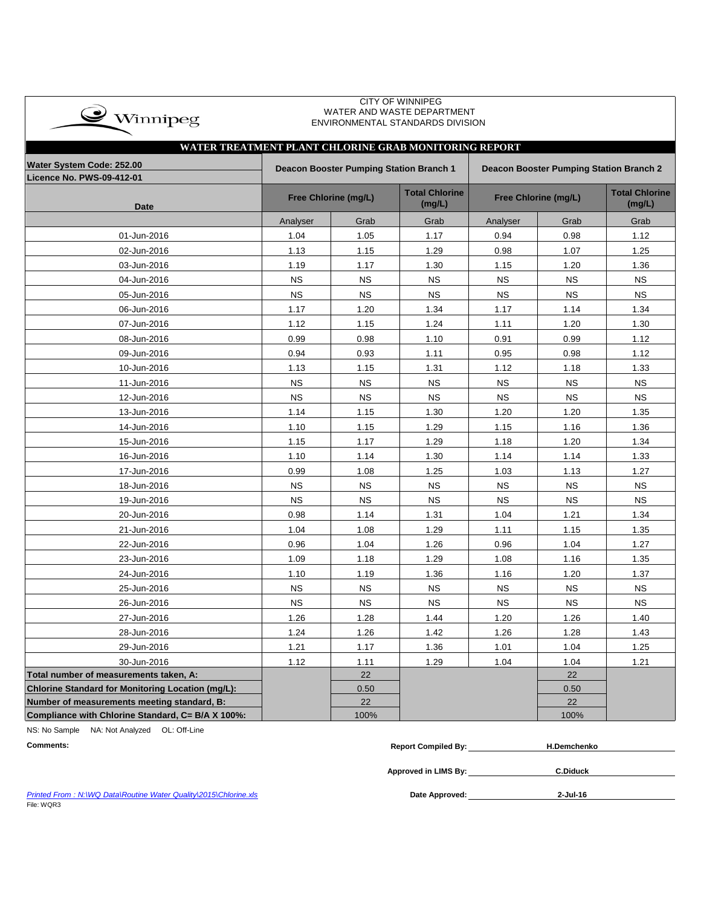| $\bullet$ Winnipeg |
|--------------------|
|                    |

 CITY OF WINNIPEG WATER AND WASTE DEPARTMENT ENVIRONMENTAL STANDARDS DIVISION

## **Licence No. PWS-09-412-01 Date Total Chlorine (mg/L) Total Chlorine (mg/L)** Analyser | Grab | Grab | Analyser | Grab | Grab 01-Jun-2016 1.04 1.05 1.17 0.94 0.98 1.12 02-Jun-2016 1.13 1.15 1.29 0.98 1.07 1.25 03-Jun-2016 1.19 1.17 1.30 1.15 1.20 1.36 04-Jun-2016 NS NS NS NS NS NS 05-Jun-2016 NS NS NS NS NS NS 06-Jun-2016 1.17 1.20 1.34 1.17 1.14 1.34 07-Jun-2016 1.12 1.15 1.24 1.11 1.20 1.30 08-Jun-2016 0.99 0.98 1.10 0.91 0.99 1.12 09-Jun-2016 0.94 0.93 1.11 0.95 0.98 1.12 10-Jun-2016 1.13 1.15 1.31 1.12 1.18 1.33 11-Jun-2016 NS NS NS NS NS NS 12-Jun-2016 NS NS NS NS NS NS 13-Jun-2016 1.14 1.15 1.30 1.20 1.20 1.35 14-Jun-2016 | 1.10 | 1.15 | 1.29 | 1.15 | 1.16 | 1.36 15-Jun-2016 1.15 1.17 1.29 1.18 1.20 1.34 16-Jun-2016 1.10 1.14 1.30 1.14 1.14 1.33 17-Jun-2016 0.99 1.08 1.25 1.03 1.13 1.27 18-Jun-2016 NS | NS | NS | NS | NS | NS 19-Jun-2016 NS | NS | NS | NS | NS | NS 20-Jun-2016 0.98 1.14 1.31 1.04 1.21 1.34 21-Jun-2016 1.04 1.08 1.29 1.11 1.15 1.35 22-Jun-2016 | 0.96 | 1.04 | 1.26 | 0.96 | 1.04 | 1.27 23-Jun-2016 1.09 1.18 1.29 1.08 1.16 1.35 24-Jun-2016 | 1.10 | 1.19 | 1.36 | 1.16 | 1.20 | 1.37 25-Jun-2016 NS | NS | NS | NS | NS | NS 26-Jun-2016 NS NS NS NS NS NS 27-Jun-2016 1.26 1.28 1.44 1.20 1.26 1.40 28-Jun-2016 1.24 1.26 1.42 1.26 1.28 1.43 29-Jun-2016 1.21 1.17 1.36 1.01 1.04 1.25 30-Jun-2016 | 1.12 | 1.11 | 1.29 | 1.04 | 1.04 | 1.21 **Total number of measurements taken, A:** 22 22 **Chlorine Standard for Monitoring Location (mg/L):** 0.50 0.50 **Number of measurements meeting standard, B:** 22 22 22 22 22 **Compliance with Chlorine Standard, C= B/A X 100%:** 100% 100% **WATER TREATMENT PLANT CHLORINE GRAB MONITORING REPORT Water System Code: 252.00 Deacon Booster Pumping Station Branch 1 Deacon Booster Pumping Station Branch 2 Free Chlorine (mg/L) Free Chlorine (mg/L)**

NS: No Sample NA: Not Analyzed OL: Off-Line

| <b>Comments:</b> | omniled By:<br>Renort | Demchenko |
|------------------|-----------------------|-----------|
|                  |                       |           |

**Approved in LIMS By:**

**C.Diduck**

*Printed From : N:\WQ Data\Routine Water Quality\2015\Chlorine.xls* **Date Approved:** File: WQR3

**2-Jul-16**